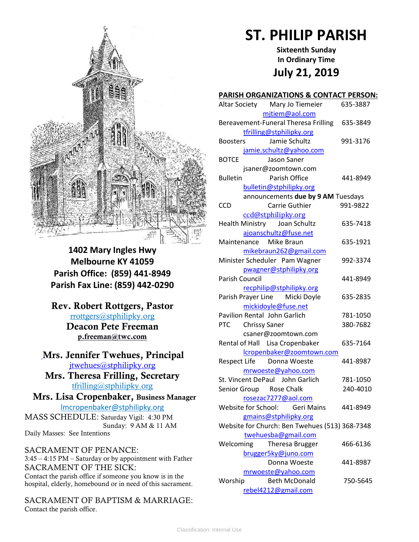

**1402 Mary Ingles Hwy Melbourne KY 41059 Parish Office: (859) 441-8949 Parish Fax Line: (859) 442-0290**

**Rev. Robert Rottgers, Pastor**  [rrottgers@stphilipky.org](mailto:rrottgers@stphilipky.org) **Deacon Pete Freeman p.freeman@twc.com**

# **Mrs. Jennifer Twehues, Principal** [jtwehues@stphilipky.org](mailto:jtwehues@stphilipky.org)

**Mrs. Theresa Frilling, Secretary**  [tfrilling@stphilipky.org](mailto:tfrilling@stphilipky.org)

 **Mrs. Lisa Cropenbaker, Business Manager**  lmcropenbaker@stphilipky.org

MASS SCHEDULE: Saturday Vigil: 4:30 PM Sunday: 9 AM & 11 AM Daily Masses: See Intentions

SACRAMENT OF PENANCE: 3:45 – 4:15 PM – Saturday or by appointment with Father SACRAMENT OF THE SICK: Contact the parish office if someone you know is in the hospital, elderly, homebound or in need of this sacrament.

SACRAMENT OF BAPTISM & MARRIAGE: Contact the parish office.

# **ST. PHILIP PARISH**

**Sixteenth Sunday In Ordinary Time July 21, 2019**

## **PARISH ORGANIZATIONS & CONTACT PERSON:**

| Altar Society Mary Jo Tiemeier                 | 635-3887 |
|------------------------------------------------|----------|
| mjtiem@aol.com                                 |          |
| Bereavement-Funeral Theresa Frilling           | 635-3849 |
| tfrilling@stphilipky.org                       |          |
| Jamie Schultz<br><b>Boosters</b>               | 991-3176 |
| jamie.schultz@yahoo.com                        |          |
| <b>BOTCE</b><br>Jason Saner                    |          |
| jsaner@zoomtown.com                            |          |
| <b>Bulletin</b><br>Parish Office               | 441-8949 |
| bulletin@stphilipky.org                        |          |
| announcements due by 9 AM Tuesdays             |          |
| Carrie Guthier<br><b>CCD</b>                   | 991-9822 |
| ccd@stphilipky.org                             |          |
| Health Ministry Joan Schultz                   | 635-7418 |
| ajoanschultz@fuse.net                          |          |
| Maintenance Mike Braun                         | 635-1921 |
| mikebraun262@gmail.com                         |          |
| Minister Scheduler Pam Wagner                  | 992-3374 |
| pwagner@stphilipky.org                         |          |
| Parish Council                                 | 441-8949 |
| recphilip@stphilipky.org                       |          |
| Parish Prayer Line Micki Doyle                 | 635-2835 |
| mickidoyle@fuse.net                            |          |
| Pavilion Rental John Garlich                   | 781-1050 |
| PTC Chrissy Saner                              | 380-7682 |
| csaner@zoomtown.com                            |          |
| Rental of Hall Lisa Cropenbaker                | 635-7164 |
| lcropenbaker@zoomtown.com                      |          |
| Respect Life Donna Woeste                      | 441-8987 |
| mrwoeste@yahoo.com                             |          |
| St. Vincent DePaul John Garlich                | 781-1050 |
| Senior Group Rose Chalk                        | 240-4010 |
| rosezac7277@aol.com                            |          |
| Website for School: Geri Mains                 | 441-8949 |
| gmains@stphilipky.org                          |          |
| Website for Church: Ben Twehues (513) 368-7348 |          |
| twehuesba@gmail.com                            |          |
| Welcoming<br>Theresa Brugger                   | 466-6136 |
| brugger5ky@juno.com                            |          |
| Donna Woeste                                   | 441-8987 |
| mrwoeste@yahoo.com                             |          |
| Worship<br><b>Beth McDonald</b>                | 750-5645 |
| rebel4212@gmail.com                            |          |
|                                                |          |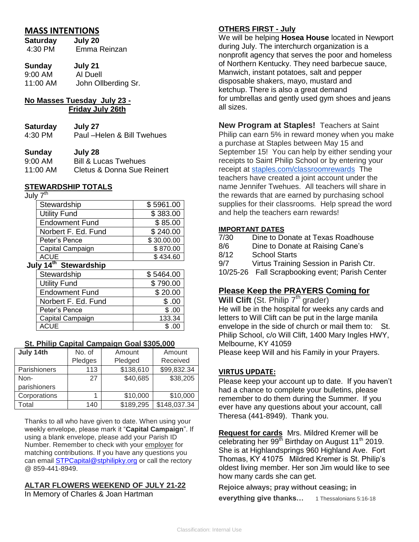# **MASS INTENTIONS**

| Saturday | July 20      |
|----------|--------------|
| 4:30 PM  | Emma Reinzan |

| Sunday   | July 21             |
|----------|---------------------|
| 9:00 AM  | Al Duell            |
| 11:00 AM | John Ollberding Sr. |

# **No Masses Tuesday July 23 - Friday July 26th**

| <b>Saturday</b> | July 27                     |
|-----------------|-----------------------------|
| 4:30 PM         | Paul - Helen & Bill Twehues |

#### **Sunday July 28**

| $9:00 \;AM$ | <b>Bill &amp; Lucas Twehues</b>       |
|-------------|---------------------------------------|
| 11:00 AM    | <b>Cletus &amp; Donna Sue Reinert</b> |

## **STEWARDSHIP TOTALS**

July 7<sup>th</sup>

| Stewardship           | \$5961.00  |
|-----------------------|------------|
| <b>Utility Fund</b>   | \$383.00   |
| <b>Endowment Fund</b> | \$85.00    |
| Norbert F. Ed. Fund   | \$240.00   |
| Peter's Pence         | \$30.00.00 |
| Capital Campaign      | \$870.00   |
| ACUE                  | \$434.60   |

# **July 14th Stewardship**

| Stewardship           | \$5464.00 |
|-----------------------|-----------|
| <b>Utility Fund</b>   | \$790.00  |
| <b>Endowment Fund</b> | \$20.00   |
| Norbert F. Ed. Fund   | \$.00     |
| Peter's Pence         | \$.00     |
| Capital Campaign      | 133.34    |
| <b>ACUE</b>           | \$.00     |

## **St. Philip Capital Campaign Goal \$305,000**

| July 14th    | No. of  | Amount    | Amount       |
|--------------|---------|-----------|--------------|
|              | Pledges | Pledged   | Received     |
| Parishioners | 113     | \$138,610 | \$99,832.34  |
| Non-         | 27      | \$40,685  | \$38,205     |
| parishioners |         |           |              |
| Corporations |         | \$10,000  | \$10,000     |
| Total        | 140     | \$189,295 | \$148,037.34 |

Thanks to all who have given to date. When using your weekly envelope, please mark it "**Capital Campaign**". If using a blank envelope, please add your Parish ID Number. Remember to check with your employer for matching contributions. If you have any questions you can email **STPCapital@stphilipky.org** or call the rectory @ 859-441-8949.

#### **ALTAR FLOWERS WEEKEND OF JULY 21-22**  In Memory of Charles & Joan Hartman

**OTHERS FIRST - July**

We will be helping **Hosea House** located in Newport during July. The interchurch organization is a nonprofit agency that serves the poor and homeless of Northern Kentucky. They need barbecue sauce, Manwich, instant potatoes, salt and pepper disposable shakers, mayo, mustard and ketchup. There is also a great demand for umbrellas and gently used gym shoes and jeans all sizes.

**New Program at Staples!** Teachers at Saint Philip can earn 5% in reward money when you make a purchase at Staples between May 15 and September 15! You can help by either sending your receipts to Saint Philip School or by entering your receipt at [staples.com/classroomrewards](http://staples.com/classroomrewards) The teachers have created a joint account under the name Jennifer Twehues. All teachers will share in the rewards that are earned by purchasing school supplies for their classrooms. Help spread the word and help the teachers earn rewards!

## **IMPORTANT DATES**

| 7/30 | Dine to Donate at Texas Roadhouse               |
|------|-------------------------------------------------|
| 8/6  | Dine to Donate at Raising Cane's                |
| 8/12 | <b>School Starts</b>                            |
| 9/7  | Virtus Training Session in Parish Ctr.          |
|      | 10/25-26 Fall Scrapbooking event; Parish Center |

# **Please Keep the PRAYERS Coming for**

**Will Clift** (St. Philip 7<sup>th</sup> grader) He will be in the hospital for weeks any cards and letters to Will Clift can be put in the large manila envelope in the side of church or mail them to: St. Philip School, c/o Will Clift, 1400 Mary Ingles HWY, Melbourne, KY 41059 Please keep Will and his Family in your Prayers.

# **VIRTUS UPDATE:**

Please keep your account up to date. If you haven't had a chance to complete your bulletins, please remember to do them during the Summer. If you ever have any questions about your account, call Theresa (441-8949). Thank you.

**Request for cards** Mrs. Mildred Kremer will be celebrating her  $99<sup>th</sup>$  Birthday on August 11<sup>th</sup> 2019. She is at Highlandsprings 960 Highland Ave. Fort Thomas, KY 41075 Mildred Kremer is St. Philip's oldest living member. Her son Jim would like to see how many cards she can get.

**Rejoice always; pray without ceasing; in** 

**everything give thanks...** 1 Thessalonians 5:16-18